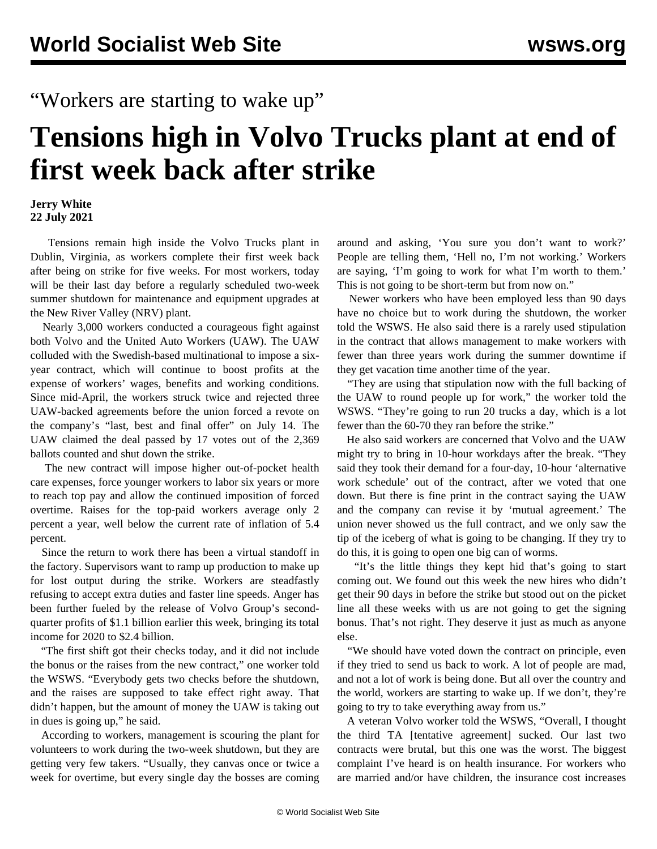## "Workers are starting to wake up"

# **Tensions high in Volvo Trucks plant at end of first week back after strike**

#### **Jerry White 22 July 2021**

 Tensions remain high inside the Volvo Trucks plant in Dublin, Virginia, as workers complete their first week back after being on strike for five weeks. For most workers, today will be their last day before a regularly scheduled two-week summer shutdown for maintenance and equipment upgrades at the New River Valley (NRV) plant.

 Nearly 3,000 workers conducted a courageous fight against both Volvo and the United Auto Workers (UAW). The UAW colluded with the Swedish-based multinational to impose a sixyear contract, which will continue to boost profits at the expense of workers' wages, benefits and working conditions. Since mid-April, the workers struck twice and rejected three UAW-backed agreements before the union forced a revote on the company's "last, best and final offer" on July 14. The UAW claimed the deal passed by 17 votes out of the 2,369 ballots counted and shut down the strike.

 The new contract will impose higher out-of-pocket health care expenses, force younger workers to labor six years or more to reach top pay and allow the continued imposition of forced overtime. Raises for the top-paid workers average only 2 percent a year, well below the current rate of inflation of 5.4 percent.

 Since the return to work there has been a virtual standoff in the factory. Supervisors want to ramp up production to make up for lost output during the strike. Workers are steadfastly refusing to accept extra duties and faster line speeds. Anger has been further fueled by the release of Volvo Group's secondquarter profits of \$1.1 billion earlier this week, bringing its total income for 2020 to \$2.4 billion.

 "The first shift got their checks today, and it did not include the bonus or the raises from the new contract," one worker told the WSWS. "Everybody gets two checks before the shutdown, and the raises are supposed to take effect right away. That didn't happen, but the amount of money the UAW is taking out in dues is going up," he said.

 According to workers, management is scouring the plant for volunteers to work during the two-week shutdown, but they are getting very few takers. "Usually, they canvas once or twice a week for overtime, but every single day the bosses are coming around and asking, 'You sure you don't want to work?' People are telling them, 'Hell no, I'm not working.' Workers are saying, 'I'm going to work for what I'm worth to them.' This is not going to be short-term but from now on."

 Newer workers who have been employed less than 90 days have no choice but to work during the shutdown, the worker told the WSWS. He also said there is a rarely used stipulation in the contract that allows management to make workers with fewer than three years work during the summer downtime if they get vacation time another time of the year.

 "They are using that stipulation now with the full backing of the UAW to round people up for work," the worker told the WSWS. "They're going to run 20 trucks a day, which is a lot fewer than the 60-70 they ran before the strike."

 He also said workers are concerned that Volvo and the UAW might try to bring in 10-hour workdays after the break. "They said they took their demand for a four-day, 10-hour 'alternative work schedule' out of the contract, after we voted that one down. But there is fine print in the contract saying the UAW and the company can revise it by 'mutual agreement.' The union never showed us the full contract, and we only saw the tip of the iceberg of what is going to be changing. If they try to do this, it is going to open one big can of worms.

 "It's the little things they kept hid that's going to start coming out. We found out this week the new hires who didn't get their 90 days in before the strike but stood out on the picket line all these weeks with us are not going to get the signing bonus. That's not right. They deserve it just as much as anyone else.

 "We should have voted down the contract on principle, even if they tried to send us back to work. A lot of people are mad, and not a lot of work is being done. But all over the country and the world, workers are starting to wake up. If we don't, they're going to try to take everything away from us."

 A veteran Volvo worker told the WSWS, "Overall, I thought the third TA [tentative agreement] sucked. Our last two contracts were brutal, but this one was the worst. The biggest complaint I've heard is on health insurance. For workers who are married and/or have children, the insurance cost increases